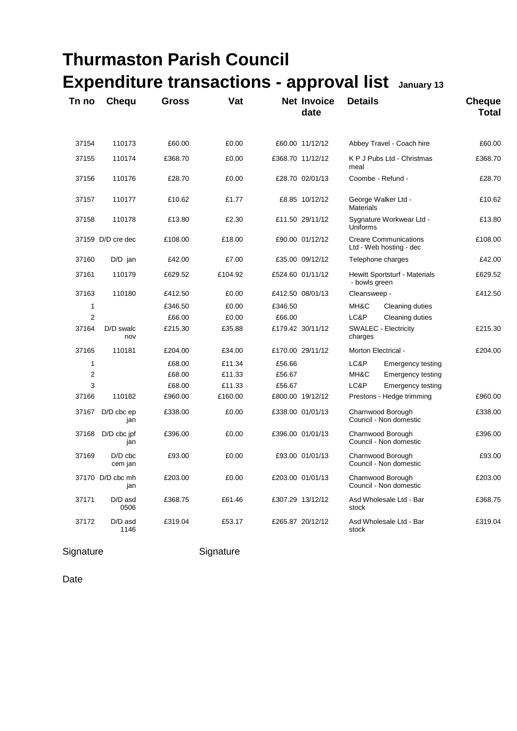|                |                         | <b>Expenditure transactions - approval list</b> |         |         |                            | January 13                                              |                               |
|----------------|-------------------------|-------------------------------------------------|---------|---------|----------------------------|---------------------------------------------------------|-------------------------------|
| Tn no          | <b>Chequ</b>            | <b>Gross</b>                                    | Vat     |         | <b>Net Invoice</b><br>date | <b>Details</b>                                          | <b>Cheque</b><br><b>Total</b> |
| 37154          | 110173                  | £60.00                                          | £0.00   |         | £60.00 11/12/12            | Abbey Travel - Coach hire                               | £60.00                        |
| 37155          | 110174                  | £368.70                                         | £0.00   |         | £368.70 11/12/12           | K P J Pubs Ltd - Christmas<br>meal                      | £368.70                       |
| 37156          | 110176                  | £28.70                                          | £0.00   |         | £28.70 02/01/13            | Coombe - Refund -                                       | £28.70                        |
| 37157          | 110177                  | £10.62                                          | £1.77   |         | £8.85 10/12/12             | George Walker Ltd -<br><b>Materials</b>                 | £10.62                        |
| 37158          | 110178                  | £13.80                                          | £2.30   |         | £11.50 29/11/12            | Sygnature Workwear Ltd -<br>Uniforms                    | £13.80                        |
|                | 37159 D/D cre dec       | £108.00                                         | £18.00  |         | £90.00 01/12/12            | <b>Creare Communications</b><br>Ltd - Web hosting - dec | £108.00                       |
| 37160          | $D/D$ jan               | £42.00                                          | £7.00   |         | £35.00 09/12/12            | Telephone charges                                       | £42.00                        |
| 37161          | 110179                  | £629.52                                         | £104.92 |         | £524.60 01/11/12           | <b>Hewitt Sportsturf - Materials</b><br>- bowls green   | £629.52                       |
| 37163          | 110180                  | £412.50                                         | £0.00   |         | £412.50 08/01/13           | Cleansweep -                                            | £412.50                       |
| 1              |                         | £346.50                                         | £0.00   | £346.50 |                            | MH&C<br>Cleaning duties                                 |                               |
| $\overline{2}$ |                         | £66.00                                          | £0.00   | £66.00  |                            | LC&P<br>Cleaning duties                                 |                               |
| 37164          | D/D swalc<br>nov        | £215.30                                         | £35.88  |         | £179.42 30/11/12           | <b>SWALEC - Electricity</b><br>charges                  | £215.30                       |
| 37165          | 110181                  | £204.00                                         | £34.00  |         | £170.00 29/11/12           | Morton Electrical -                                     | £204.00                       |
| 1              |                         | £68.00                                          | £11.34  | £56.66  |                            | LC&P<br><b>Emergency testing</b>                        |                               |
| 2              |                         | £68.00                                          | £11.33  | £56.67  |                            | MH&C<br>Emergency testing                               |                               |
| 3              |                         | £68.00                                          | £11.33  | £56.67  |                            | LC&P<br>Emergency testing                               |                               |
| 37166          | 110182                  | £960.00                                         | £160.00 |         | £800.00 19/12/12           | Prestons - Hedge trimming                               | £960.00                       |
| 37167          | $D/D$ cbc $ep$<br>jan   | £338.00                                         | £0.00   |         | £338.00 01/01/13           | Charnwood Borough<br>Council - Non domestic             | £338.00                       |
| 37168          | D/D cbc jpf<br>jan      | £396.00                                         | £0.00   |         | £396.00 01/01/13           | Charnwood Borough<br>Council - Non domestic             | £396.00                       |
| 37169          | $D/D$ cbc<br>cem jan    | £93.00                                          | £0.00   |         | £93.00 01/01/13            | Charnwood Borough<br>Council - Non domestic             | £93.00                        |
|                | 37170 D/D cbc mh<br>jan | £203.00                                         | £0.00   |         | £203.00 01/01/13           | Charnwood Borough<br>Council - Non domestic             | £203.00                       |
| 37171          | D/D asd<br>0506         | £368.75                                         | £61.46  |         | £307.29 13/12/12           | Asd Wholesale Ltd - Bar<br>stock                        | £368.75                       |
| 37172          | D/D asd<br>1146         | £319.04                                         | £53.17  |         | £265.87 20/12/12           | Asd Wholesale Ltd - Bar<br>stock                        | £319.04                       |

## Signature Signature

**Thurmaston Parish Council**

Date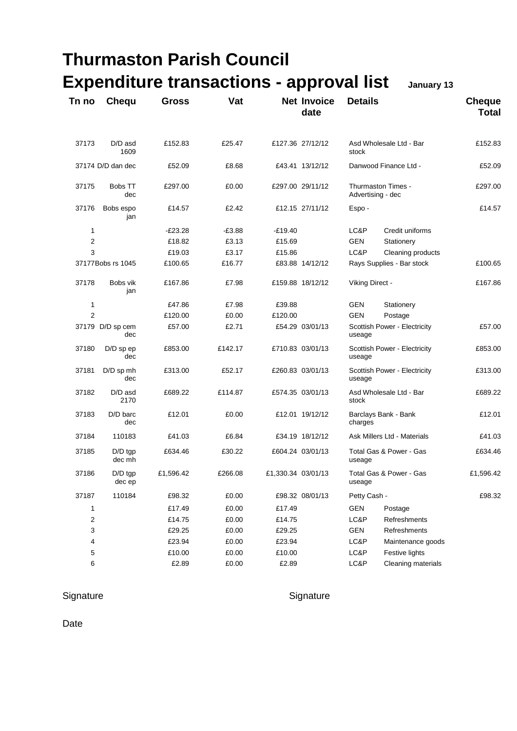|                   |                         | <b>Thurmaston Parish Council</b>                |          |                    |                            |                                         |                              |                               |
|-------------------|-------------------------|-------------------------------------------------|----------|--------------------|----------------------------|-----------------------------------------|------------------------------|-------------------------------|
|                   |                         | <b>Expenditure transactions - approval list</b> |          |                    |                            |                                         | January 13                   |                               |
| Tn no             | <b>Chequ</b>            | <b>Gross</b>                                    | Vat      |                    | <b>Net Invoice</b><br>date | <b>Details</b>                          |                              | <b>Cheque</b><br><b>Total</b> |
| 37173             | D/D asd<br>1609         | £152.83                                         | £25.47   |                    | £127.36 27/12/12           | Asd Wholesale Ltd - Bar<br>stock        |                              | £152.83                       |
|                   | 37174 D/D dan dec       | £52.09                                          | £8.68    |                    | £43.41 13/12/12            |                                         | Danwood Finance Ltd -        | £52.09                        |
| 37175             | <b>Bobs TT</b><br>dec   | £297.00                                         | £0.00    |                    | £297.00 29/11/12           | Thurmaston Times -<br>Advertising - dec |                              | £297.00                       |
| 37176             | Bobs espo<br>jan        | £14.57                                          | £2.42    |                    | £12.15 27/11/12            | Espo-                                   |                              | £14.57                        |
| 1                 |                         | $-E23.28$                                       | $-E3.88$ | $-£19.40$          |                            | LC&P                                    | Credit uniforms              |                               |
| 2                 |                         | £18.82                                          | £3.13    | £15.69             |                            | <b>GEN</b>                              | Stationery                   |                               |
| 3                 |                         | £19.03                                          | £3.17    | £15.86             |                            | LC&P                                    | Cleaning products            |                               |
| 37177Bobs rs 1045 |                         | £100.65                                         | £16.77   |                    | £83.88 14/12/12            | Rays Supplies - Bar stock               |                              | £100.65                       |
| 37178             | Bobs vik<br>jan         | £167.86                                         | £7.98    |                    | £159.88 18/12/12           | Viking Direct -                         |                              | £167.86                       |
| 1                 |                         | £47.86                                          | £7.98    | £39.88             |                            | <b>GEN</b>                              | Stationery                   |                               |
| $\overline{2}$    |                         | £120.00                                         | £0.00    | £120.00            |                            | <b>GEN</b>                              | Postage                      |                               |
|                   | 37179 D/D sp cem<br>dec | £57.00                                          | £2.71    |                    | £54.29 03/01/13            | useage                                  | Scottish Power - Electricity | £57.00                        |
| 37180             | $D/D$ sp ep<br>dec      | £853.00                                         | £142.17  |                    | £710.83 03/01/13           | Scottish Power - Electricity<br>useage  |                              | £853.00                       |
| 37181             | $D/D$ sp mh<br>dec      | £313.00                                         | £52.17   |                    | £260.83 03/01/13           | Scottish Power - Electricity<br>useage  |                              | £313.00                       |
| 37182             | D/D asd<br>2170         | £689.22                                         | £114.87  |                    | £574.35 03/01/13           | Asd Wholesale Ltd - Bar<br>stock        |                              | £689.22                       |
| 37183             | D/D barc<br>dec         | £12.01                                          | £0.00    |                    | £12.01 19/12/12            | Barclays Bank - Bank<br>charges         |                              | £12.01                        |
| 37184             | 110183                  | £41.03                                          | £6.84    |                    | £34.19 18/12/12            | Ask Millers Ltd - Materials             |                              | £41.03                        |
| 37185             | $D/D$ tgp<br>dec mh     | £634.46                                         | £30.22   |                    | £604.24 03/01/13           | Total Gas & Power - Gas<br>useage       |                              | £634.46                       |
| 37186             | $D/D$ tgp<br>dec ep     | £1,596.42                                       | £266.08  | £1,330.34 03/01/13 |                            | Total Gas & Power - Gas<br>useage       |                              | £1,596.42                     |
| 37187             | 110184                  | £98.32                                          | £0.00    |                    | £98.32 08/01/13            | Petty Cash -                            |                              | £98.32                        |
| 1                 |                         | £17.49                                          | £0.00    | £17.49             |                            | GEN                                     | Postage                      |                               |
| 2                 |                         | £14.75                                          | £0.00    | £14.75             |                            | LC&P                                    | <b>Refreshments</b>          |                               |
| 3                 |                         | £29.25                                          | £0.00    | £29.25             |                            | GEN                                     | Refreshments                 |                               |
| 4                 |                         | £23.94                                          | £0.00    | £23.94             |                            | LC&P                                    | Maintenance goods            |                               |
| 5                 |                         | £10.00                                          | £0.00    | £10.00             |                            | LC&P                                    | Festive lights               |                               |
| 6                 |                         | £2.89                                           | £0.00    | £2.89              |                            | LC&P                                    | Cleaning materials           |                               |

## Signature Signature Signature

Date